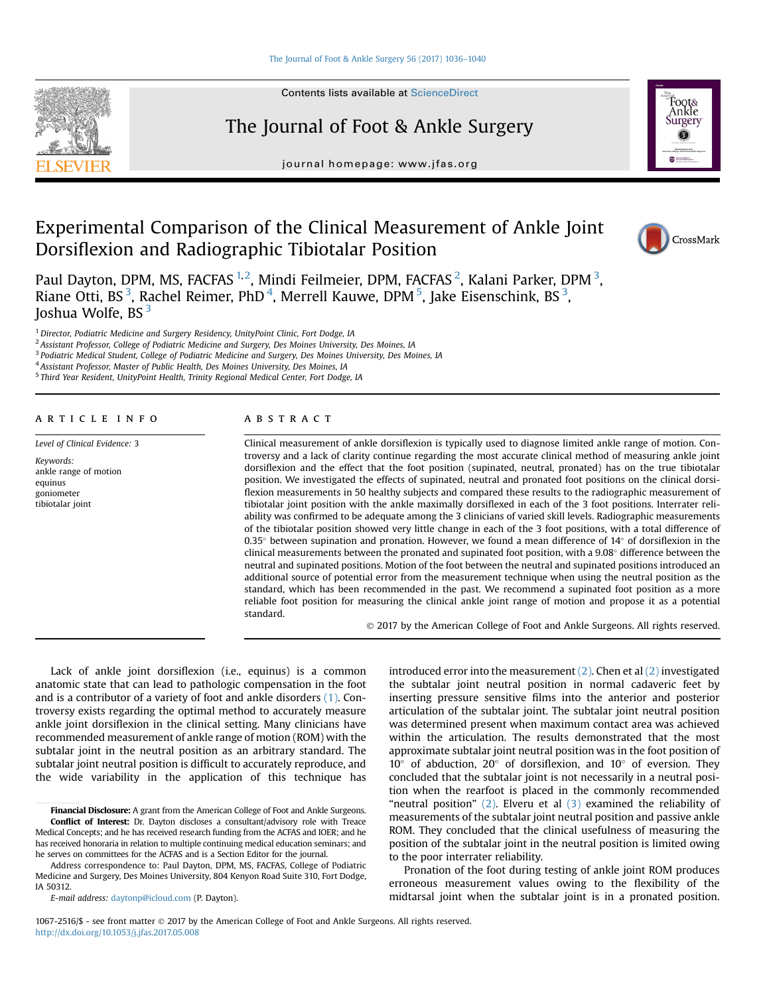**Contents lists available at ScienceDirect** 

## The Journal of Foot & Ankle Surgery

journal homepage: [www.jfas.org](http://www.jfas.org)

# Experimental Comparison of the Clinical Measurement of Ankle Joint Dorsiflexion and Radiographic Tibiotalar Position

Paul Dayton, DPM, MS, FACFAS  $^{1,2}$ , Mindi Feilmeier, DPM, FACFAS  $^2$ , Kalani Parker, DPM  $^3$ , Riane Otti, BS<sup>3</sup>, Rachel Reimer, PhD<sup>4</sup>, Merrell Kauwe, DPM<sup>5</sup>, Jake Eisenschink, BS<sup>3</sup>, Joshua Wolfe, BS $3$ 

<sup>1</sup> Director, Podiatric Medicine and Surgery Residency, UnityPoint Clinic, Fort Dodge, IA

<sup>2</sup> Assistant Professor, College of Podiatric Medicine and Surgery, Des Moines University, Des Moines, IA

<sup>3</sup> Podiatric Medical Student, College of Podiatric Medicine and Surgery, Des Moines University, Des Moines, IA

<sup>4</sup> Assistant Professor, Master of Public Health, Des Moines University, Des Moines, IA

<sup>5</sup> Third Year Resident, UnityPoint Health, Trinity Regional Medical Center, Fort Dodge, IA

#### article info

Level of Clinical Evidence: 3

Keywords: ankle range of motion equinus goniometer tibiotalar joint

### **ABSTRACT**

Clinical measurement of ankle dorsiflexion is typically used to diagnose limited ankle range of motion. Controversy and a lack of clarity continue regarding the most accurate clinical method of measuring ankle joint dorsiflexion and the effect that the foot position (supinated, neutral, pronated) has on the true tibiotalar position. We investigated the effects of supinated, neutral and pronated foot positions on the clinical dorsiflexion measurements in 50 healthy subjects and compared these results to the radiographic measurement of tibiotalar joint position with the ankle maximally dorsiflexed in each of the 3 foot positions. Interrater reliability was confirmed to be adequate among the 3 clinicians of varied skill levels. Radiographic measurements of the tibiotalar position showed very little change in each of the 3 foot positions, with a total difference of  $0.35^{\circ}$  between supination and pronation. However, we found a mean difference of 14 $^{\circ}$  of dorsiflexion in the clinical measurements between the pronated and supinated foot position, with a 9.08 $^{\circ}$  difference between the neutral and supinated positions. Motion of the foot between the neutral and supinated positions introduced an additional source of potential error from the measurement technique when using the neutral position as the standard, which has been recommended in the past. We recommend a supinated foot position as a more reliable foot position for measuring the clinical ankle joint range of motion and propose it as a potential standard.

2017 by the American College of Foot and Ankle Surgeons. All rights reserved.

Lack of ankle joint dorsiflexion (i.e., equinus) is a common anatomic state that can lead to pathologic compensation in the foot and is a contributor of a variety of foot and ankle disorders [\(1\).](#page-4-0) Controversy exists regarding the optimal method to accurately measure ankle joint dorsiflexion in the clinical setting. Many clinicians have recommended measurement of ankle range of motion (ROM) with the subtalar joint in the neutral position as an arbitrary standard. The subtalar joint neutral position is difficult to accurately reproduce, and the wide variability in the application of this technique has

1067-2516/\$ - see front matter  $\circ$  2017 by the American College of Foot and Ankle Surgeons. All rights reserved. <http://dx.doi.org/10.1053/j.jfas.2017.05.008>

introduced error into the measurement  $(2)$ . Chen et al  $(2)$  investigated the subtalar joint neutral position in normal cadaveric feet by inserting pressure sensitive films into the anterior and posterior articulation of the subtalar joint. The subtalar joint neutral position was determined present when maximum contact area was achieved within the articulation. The results demonstrated that the most approximate subtalar joint neutral position was in the foot position of  $10^{\circ}$  of abduction,  $20^{\circ}$  of dorsiflexion, and  $10^{\circ}$  of eversion. They concluded that the subtalar joint is not necessarily in a neutral position when the rearfoot is placed in the commonly recommended "neutral position"  $(2)$ . Elveru et al  $(3)$  examined the reliability of measurements of the subtalar joint neutral position and passive ankle ROM. They concluded that the clinical usefulness of measuring the position of the subtalar joint in the neutral position is limited owing to the poor interrater reliability.

Pronation of the foot during testing of ankle joint ROM produces erroneous measurement values owing to the flexibility of the midtarsal joint when the subtalar joint is in a pronated position.







Financial Disclosure: A grant from the American College of Foot and Ankle Surgeons. Conflict of Interest: Dr. Dayton discloses a consultant/advisory role with Treace Medical Concepts; and he has received research funding from the ACFAS and IOER; and he has received honoraria in relation to multiple continuing medical education seminars; and he serves on committees for the ACFAS and is a Section Editor for the journal.

Address correspondence to: Paul Dayton, DPM, MS, FACFAS, College of Podiatric Medicine and Surgery, Des Moines University, 804 Kenyon Road Suite 310, Fort Dodge, IA 50312.

E-mail address: [daytonp@icloud.com](mailto:daytonp@icloud.com) (P. Dayton).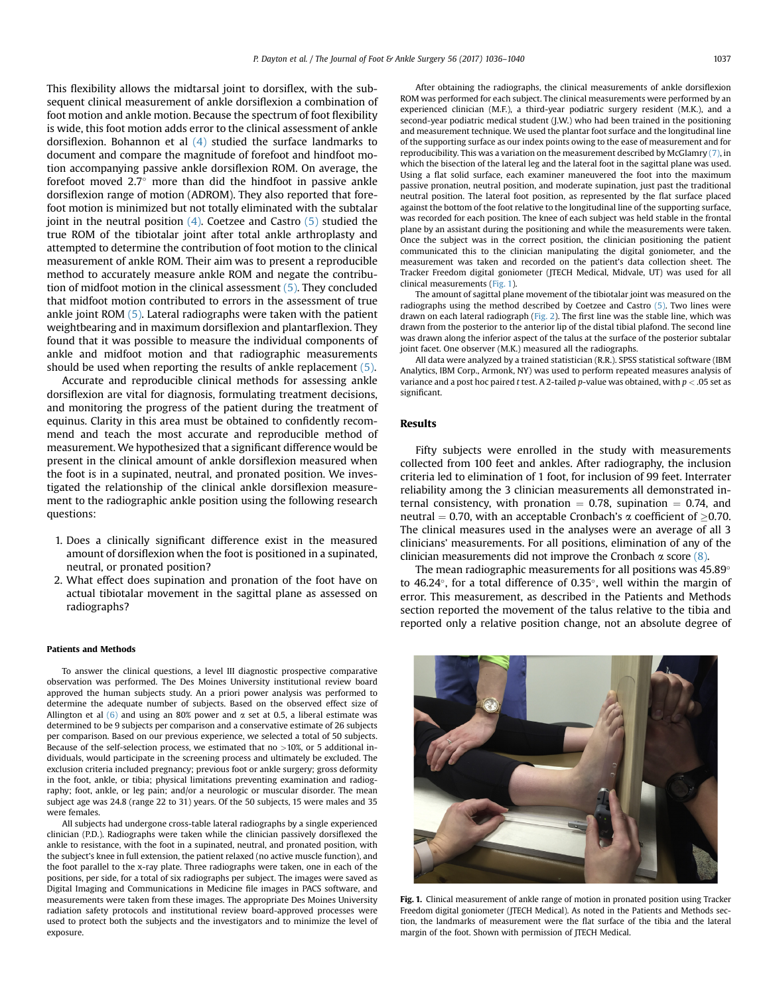This flexibility allows the midtarsal joint to dorsiflex, with the subsequent clinical measurement of ankle dorsiflexion a combination of foot motion and ankle motion. Because the spectrum of foot flexibility is wide, this foot motion adds error to the clinical assessment of ankle dorsiflexion. Bohannon et al  $(4)$  studied the surface landmarks to document and compare the magnitude of forefoot and hindfoot motion accompanying passive ankle dorsiflexion ROM. On average, the forefoot moved  $2.7^{\circ}$  more than did the hindfoot in passive ankle dorsiflexion range of motion (ADROM). They also reported that forefoot motion is minimized but not totally eliminated with the subtalar joint in the neutral position  $(4)$ . Coetzee and Castro  $(5)$  studied the true ROM of the tibiotalar joint after total ankle arthroplasty and attempted to determine the contribution of foot motion to the clinical measurement of ankle ROM. Their aim was to present a reproducible method to accurately measure ankle ROM and negate the contribution of midfoot motion in the clinical assessment [\(5\).](#page-4-0) They concluded that midfoot motion contributed to errors in the assessment of true ankle joint ROM [\(5\)](#page-4-0). Lateral radiographs were taken with the patient weightbearing and in maximum dorsiflexion and plantarflexion. They found that it was possible to measure the individual components of ankle and midfoot motion and that radiographic measurements should be used when reporting the results of ankle replacement [\(5\)](#page-4-0).

Accurate and reproducible clinical methods for assessing ankle dorsiflexion are vital for diagnosis, formulating treatment decisions, and monitoring the progress of the patient during the treatment of equinus. Clarity in this area must be obtained to confidently recommend and teach the most accurate and reproducible method of measurement. We hypothesized that a significant difference would be present in the clinical amount of ankle dorsiflexion measured when the foot is in a supinated, neutral, and pronated position. We investigated the relationship of the clinical ankle dorsiflexion measurement to the radiographic ankle position using the following research questions:

- 1. Does a clinically significant difference exist in the measured amount of dorsiflexion when the foot is positioned in a supinated, neutral, or pronated position?
- 2. What effect does supination and pronation of the foot have on actual tibiotalar movement in the sagittal plane as assessed on radiographs?

#### Patients and Methods

To answer the clinical questions, a level III diagnostic prospective comparative observation was performed. The Des Moines University institutional review board approved the human subjects study. An a priori power analysis was performed to determine the adequate number of subjects. Based on the observed effect size of Allington et al  $(6)$  and using an 80% power and  $\alpha$  set at 0.5, a liberal estimate was determined to be 9 subjects per comparison and a conservative estimate of 26 subjects per comparison. Based on our previous experience, we selected a total of 50 subjects. Because of the self-selection process, we estimated that no  $>10\%$ , or 5 additional individuals, would participate in the screening process and ultimately be excluded. The exclusion criteria included pregnancy; previous foot or ankle surgery; gross deformity in the foot, ankle, or tibia; physical limitations preventing examination and radiography; foot, ankle, or leg pain; and/or a neurologic or muscular disorder. The mean subject age was 24.8 (range 22 to 31) years. Of the 50 subjects, 15 were males and 35 were females.

All subjects had undergone cross-table lateral radiographs by a single experienced clinician (P.D.). Radiographs were taken while the clinician passively dorsiflexed the ankle to resistance, with the foot in a supinated, neutral, and pronated position, with the subject's knee in full extension, the patient relaxed (no active muscle function), and the foot parallel to the x-ray plate. Three radiographs were taken, one in each of the positions, per side, for a total of six radiographs per subject. The images were saved as Digital Imaging and Communications in Medicine file images in PACS software, and measurements were taken from these images. The appropriate Des Moines University radiation safety protocols and institutional review board-approved processes were used to protect both the subjects and the investigators and to minimize the level of exposure.

After obtaining the radiographs, the clinical measurements of ankle dorsiflexion ROM was performed for each subject. The clinical measurements were performed by an experienced clinician (M.F.), a third-year podiatric surgery resident (M.K.), and a second-year podiatric medical student (J.W.) who had been trained in the positioning and measurement technique. We used the plantar foot surface and the longitudinal line of the supporting surface as our index points owing to the ease of measurement and for reproducibility. This was a variation on the measurement described by McGlamry [\(7\)](#page-4-0), in which the bisection of the lateral leg and the lateral foot in the sagittal plane was used. Using a flat solid surface, each examiner maneuvered the foot into the maximum passive pronation, neutral position, and moderate supination, just past the traditional neutral position. The lateral foot position, as represented by the flat surface placed against the bottom of the foot relative to the longitudinal line of the supporting surface, was recorded for each position. The knee of each subject was held stable in the frontal plane by an assistant during the positioning and while the measurements were taken. Once the subject was in the correct position, the clinician positioning the patient communicated this to the clinician manipulating the digital goniometer, and the measurement was taken and recorded on the patient's data collection sheet. The Tracker Freedom digital goniometer (JTECH Medical, Midvale, UT) was used for all clinical measurements (Fig. 1).

The amount of sagittal plane movement of the tibiotalar joint was measured on the radiographs using the method described by Coetzee and Castro [\(5\).](#page-4-0) Two lines were drawn on each lateral radiograph [\(Fig. 2](#page-2-0)). The first line was the stable line, which was drawn from the posterior to the anterior lip of the distal tibial plafond. The second line was drawn along the inferior aspect of the talus at the surface of the posterior subtalar joint facet. One observer (M.K.) measured all the radiographs.

All data were analyzed by a trained statistician (R.R.). SPSS statistical software (IBM Analytics, IBM Corp., Armonk, NY) was used to perform repeated measures analysis of variance and a post hoc paired t test. A 2-tailed p-value was obtained, with  $p < .05$  set as significant.

#### Results

Fifty subjects were enrolled in the study with measurements collected from 100 feet and ankles. After radiography, the inclusion criteria led to elimination of 1 foot, for inclusion of 99 feet. Interrater reliability among the 3 clinician measurements all demonstrated internal consistency, with pronation  $= 0.78$ , supination  $= 0.74$ , and neutral = 0.70, with an acceptable Cronbach's  $\alpha$  coefficient of  $\geq$ 0.70. The clinical measures used in the analyses were an average of all 3 clinicians' measurements. For all positions, elimination of any of the clinician measurements did not improve the Cronbach  $\alpha$  score [\(8\)](#page-4-0).

The mean radiographic measurements for all positions was 45.89 to  $46.24^{\circ}$ , for a total difference of 0.35 $^{\circ}$ , well within the margin of error. This measurement, as described in the Patients and Methods section reported the movement of the talus relative to the tibia and reported only a relative position change, not an absolute degree of



Fig. 1. Clinical measurement of ankle range of motion in pronated position using Tracker Freedom digital goniometer (JTECH Medical). As noted in the Patients and Methods section, the landmarks of measurement were the flat surface of the tibia and the lateral margin of the foot. Shown with permission of JTECH Medical.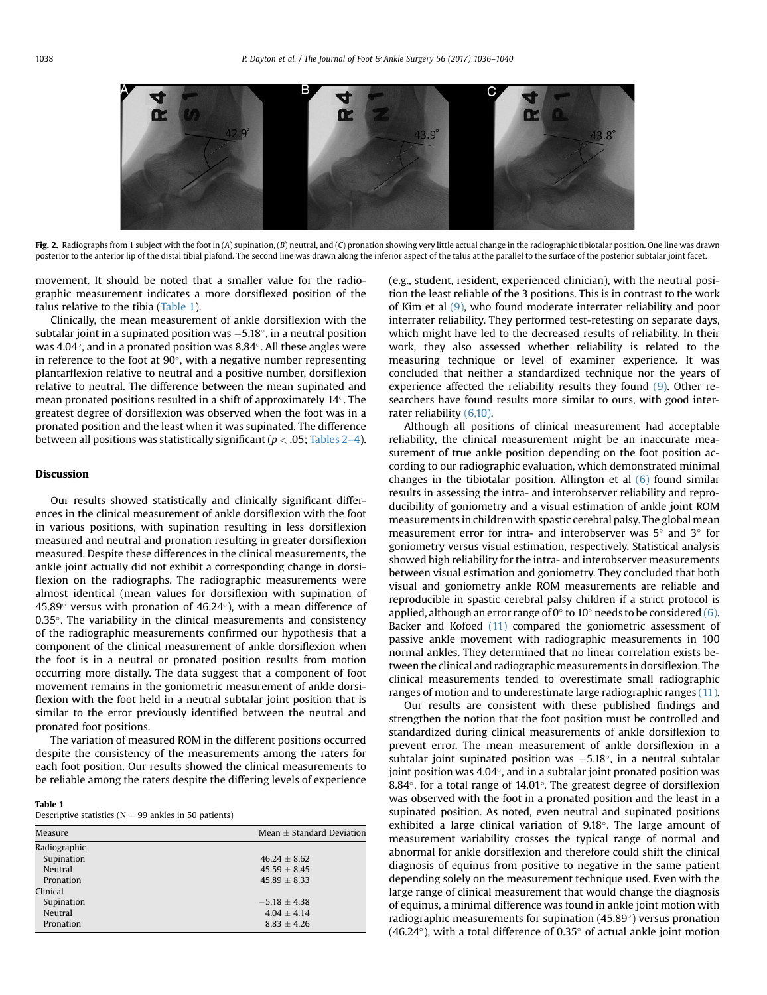<span id="page-2-0"></span>

Fig. 2. Radiographs from 1 subject with the foot in (A) supination, (B) neutral, and (C) pronation showing very little actual change in the radiographic tibiotalar position. One line was drawn posterior to the anterior lip of the distal tibial plafond. The second line was drawn along the inferior aspect of the talus at the parallel to the surface of the posterior subtalar joint facet.

movement. It should be noted that a smaller value for the radiographic measurement indicates a more dorsiflexed position of the talus relative to the tibia (Table 1).

Clinically, the mean measurement of ankle dorsiflexion with the subtalar joint in a supinated position was  $-5.18^\circ$ , in a neutral position was 4.04 $^{\circ}$ , and in a pronated position was 8.84 $^{\circ}$ . All these angles were in reference to the foot at  $90^{\circ}$ , with a negative number representing plantarflexion relative to neutral and a positive number, dorsiflexion relative to neutral. The difference between the mean supinated and mean pronated positions resulted in a shift of approximately  $14^\circ$ . The greatest degree of dorsiflexion was observed when the foot was in a pronated position and the least when it was supinated. The difference between all positions was statistically significant ( $p < .05$ ; [Tables 2](#page-3-0)-4).

#### **Discussion**

Our results showed statistically and clinically significant differences in the clinical measurement of ankle dorsiflexion with the foot in various positions, with supination resulting in less dorsiflexion measured and neutral and pronation resulting in greater dorsiflexion measured. Despite these differences in the clinical measurements, the ankle joint actually did not exhibit a corresponding change in dorsiflexion on the radiographs. The radiographic measurements were almost identical (mean values for dorsiflexion with supination of  $45.89^{\circ}$  versus with pronation of  $46.24^{\circ}$ ), with a mean difference of  $0.35^{\circ}$ . The variability in the clinical measurements and consistency of the radiographic measurements confirmed our hypothesis that a component of the clinical measurement of ankle dorsiflexion when the foot is in a neutral or pronated position results from motion occurring more distally. The data suggest that a component of foot movement remains in the goniometric measurement of ankle dorsiflexion with the foot held in a neutral subtalar joint position that is similar to the error previously identified between the neutral and pronated foot positions.

The variation of measured ROM in the different positions occurred despite the consistency of the measurements among the raters for each foot position. Our results showed the clinical measurements to be reliable among the raters despite the differing levels of experience

#### Table 1

Descriptive statistics ( $N = 99$  ankles in 50 patients)

| Measure      | $Mean + Standard Deviation$ |
|--------------|-----------------------------|
| Radiographic |                             |
| Supination   | $46.24 + 8.62$              |
| Neutral      | $45.59 + 8.45$              |
| Pronation    | $45.89 + 8.33$              |
| Clinical     |                             |
| Supination   | $-5.18 + 4.38$              |
| Neutral      | $4.04 + 4.14$               |
| Pronation    | $8.83 \pm 4.26$             |

(e.g., student, resident, experienced clinician), with the neutral position the least reliable of the 3 positions. This is in contrast to the work of Kim et al  $(9)$ , who found moderate interrater reliability and poor interrater reliability. They performed test-retesting on separate days, which might have led to the decreased results of reliability. In their work, they also assessed whether reliability is related to the measuring technique or level of examiner experience. It was concluded that neither a standardized technique nor the years of experience affected the reliability results they found [\(9\).](#page-4-0) Other researchers have found results more similar to ours, with good interrater reliability [\(6,10\)](#page-4-0).

Although all positions of clinical measurement had acceptable reliability, the clinical measurement might be an inaccurate measurement of true ankle position depending on the foot position according to our radiographic evaluation, which demonstrated minimal changes in the tibiotalar position. Allington et al  $(6)$  found similar results in assessing the intra- and interobserver reliability and reproducibility of goniometry and a visual estimation of ankle joint ROM measurements in children with spastic cerebral palsy. The global mean measurement error for intra- and interobserver was  $5^{\circ}$  and  $3^{\circ}$  for goniometry versus visual estimation, respectively. Statistical analysis showed high reliability for the intra- and interobserver measurements between visual estimation and goniometry. They concluded that both visual and goniometry ankle ROM measurements are reliable and reproducible in spastic cerebral palsy children if a strict protocol is applied, although an error range of 0 $\degree$  to 10 $\degree$  needs to be considered [\(6\)](#page-4-0). Backer and Kofoed [\(11\)](#page-4-0) compared the goniometric assessment of passive ankle movement with radiographic measurements in 100 normal ankles. They determined that no linear correlation exists between the clinical and radiographic measurements in dorsiflexion. The clinical measurements tended to overestimate small radiographic ranges of motion and to underestimate large radiographic ranges [\(11\)](#page-4-0).

Our results are consistent with these published findings and strengthen the notion that the foot position must be controlled and standardized during clinical measurements of ankle dorsiflexion to prevent error. The mean measurement of ankle dorsiflexion in a subtalar joint supinated position was  $-5.18^{\circ}$ , in a neutral subtalar joint position was  $4.04^{\circ}$ , and in a subtalar joint pronated position was  $8.84^{\circ}$ , for a total range of 14.01 $^{\circ}$ . The greatest degree of dorsiflexion was observed with the foot in a pronated position and the least in a supinated position. As noted, even neutral and supinated positions exhibited a large clinical variation of  $9.18^\circ$ . The large amount of measurement variability crosses the typical range of normal and abnormal for ankle dorsiflexion and therefore could shift the clinical diagnosis of equinus from positive to negative in the same patient depending solely on the measurement technique used. Even with the large range of clinical measurement that would change the diagnosis of equinus, a minimal difference was found in ankle joint motion with radiographic measurements for supination  $(45.89°)$  versus pronation  $(46.24^{\circ})$ , with a total difference of 0.35 $^{\circ}$  of actual ankle joint motion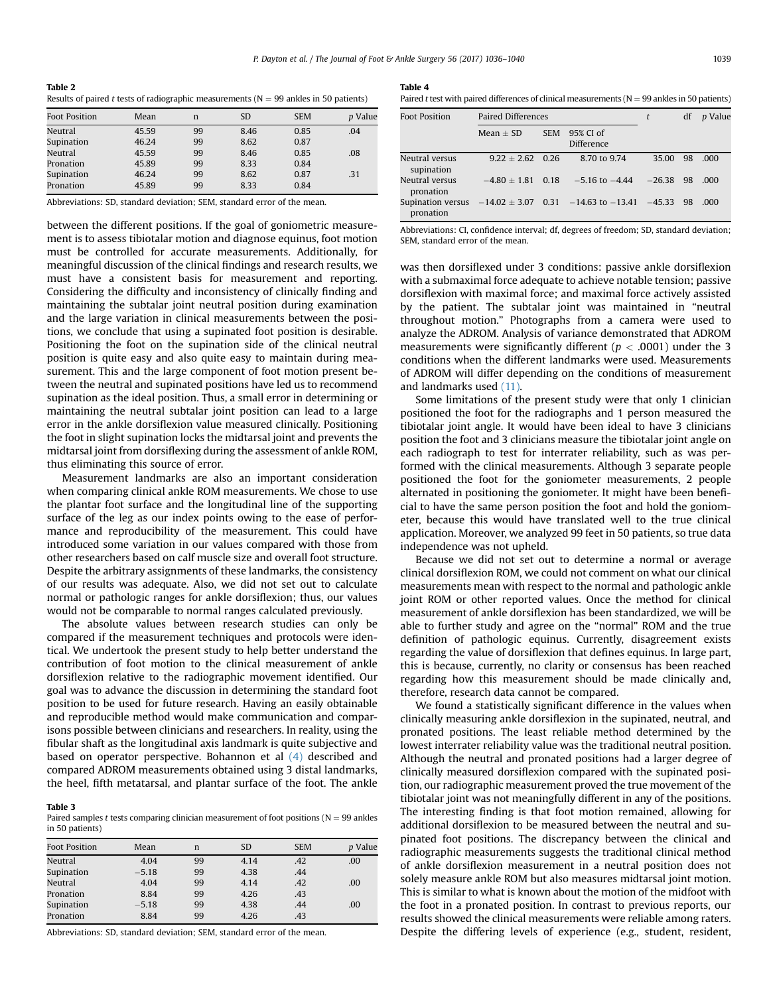<span id="page-3-0"></span>Table 2 Results of paired t tests of radiographic measurements ( $N = 99$  ankles in 50 patients)

| <b>Foot Position</b> | Mean  | n  | <b>SD</b> | <b>SEM</b> | p Value |
|----------------------|-------|----|-----------|------------|---------|
| Neutral              | 45.59 | 99 | 8.46      | 0.85       | .04     |
| Supination           | 46.24 | 99 | 8.62      | 0.87       |         |
| Neutral              | 45.59 | 99 | 8.46      | 0.85       | .08     |
| Pronation            | 45.89 | 99 | 8.33      | 0.84       |         |
| Supination           | 46.24 | 99 | 8.62      | 0.87       | .31     |
| Pronation            | 45.89 | 99 | 8.33      | 0.84       |         |
|                      |       |    |           |            |         |

Abbreviations: SD, standard deviation; SEM, standard error of the mean.

between the different positions. If the goal of goniometric measurement is to assess tibiotalar motion and diagnose equinus, foot motion must be controlled for accurate measurements. Additionally, for meaningful discussion of the clinical findings and research results, we must have a consistent basis for measurement and reporting. Considering the difficulty and inconsistency of clinically finding and maintaining the subtalar joint neutral position during examination and the large variation in clinical measurements between the positions, we conclude that using a supinated foot position is desirable. Positioning the foot on the supination side of the clinical neutral position is quite easy and also quite easy to maintain during measurement. This and the large component of foot motion present between the neutral and supinated positions have led us to recommend supination as the ideal position. Thus, a small error in determining or maintaining the neutral subtalar joint position can lead to a large error in the ankle dorsiflexion value measured clinically. Positioning the foot in slight supination locks the midtarsal joint and prevents the midtarsal joint from dorsiflexing during the assessment of ankle ROM, thus eliminating this source of error.

Measurement landmarks are also an important consideration when comparing clinical ankle ROM measurements. We chose to use the plantar foot surface and the longitudinal line of the supporting surface of the leg as our index points owing to the ease of performance and reproducibility of the measurement. This could have introduced some variation in our values compared with those from other researchers based on calf muscle size and overall foot structure. Despite the arbitrary assignments of these landmarks, the consistency of our results was adequate. Also, we did not set out to calculate normal or pathologic ranges for ankle dorsiflexion; thus, our values would not be comparable to normal ranges calculated previously.

The absolute values between research studies can only be compared if the measurement techniques and protocols were identical. We undertook the present study to help better understand the contribution of foot motion to the clinical measurement of ankle dorsiflexion relative to the radiographic movement identified. Our goal was to advance the discussion in determining the standard foot position to be used for future research. Having an easily obtainable and reproducible method would make communication and comparisons possible between clinicians and researchers. In reality, using the fibular shaft as the longitudinal axis landmark is quite subjective and based on operator perspective. Bohannon et al [\(4\)](#page-4-0) described and compared ADROM measurements obtained using 3 distal landmarks, the heel, fifth metatarsal, and plantar surface of the foot. The ankle

#### Table 3

Paired samples t tests comparing clinician measurement of foot positions ( $N = 99$  ankles in 50 patients)

| <b>Foot Position</b> | Mean    | n  | <b>SD</b> | <b>SEM</b> | p Value |
|----------------------|---------|----|-----------|------------|---------|
| Neutral              | 4.04    | 99 | 4.14      | .42        | .00     |
| Supination           | $-5.18$ | 99 | 4.38      | .44        |         |
| Neutral              | 4.04    | 99 | 4.14      | .42        | .00     |
| Pronation            | 8.84    | 99 | 4.26      | .43        |         |
| Supination           | $-5.18$ | 99 | 4.38      | .44        | .00     |
| Pronation            | 8.84    | 99 | 4.26      | .43        |         |

Abbreviations: SD, standard deviation; SEM, standard error of the mean.

| Paired t test with paired differences of clinical measurements ( $N = 99$ ankles in 50 patients) |  |  |
|--------------------------------------------------------------------------------------------------|--|--|
|                                                                                                  |  |  |

| <b>Foot Position</b>         | <b>Paired Differences</b> | t          | df                                                                     | <i>p</i> Value |      |       |
|------------------------------|---------------------------|------------|------------------------------------------------------------------------|----------------|------|-------|
|                              | Mean $\pm$ SD             | <b>SEM</b> | 95% CI of<br>Difference                                                |                |      |       |
| Neutral versus<br>supination | $9.22 + 2.62$ 0.26        |            | 8.70 to 9.74                                                           | 35.00          | - 98 | .000  |
| Neutral versus<br>pronation  | $-4.80 + 1.81$ 0.18       |            | $-5.16$ to $-4.44$                                                     | $-26.38$       | - 98 | .000. |
| pronation                    |                           |            | Supination versus $-14.02 \pm 3.07$ 0.31 $-14.63$ to $-13.41$ $-45.33$ |                | - 98 | .000. |

Abbreviations: CI, confidence interval; df, degrees of freedom; SD, standard deviation; SEM, standard error of the mean.

was then dorsiflexed under 3 conditions: passive ankle dorsiflexion with a submaximal force adequate to achieve notable tension; passive dorsiflexion with maximal force; and maximal force actively assisted by the patient. The subtalar joint was maintained in "neutral throughout motion." Photographs from a camera were used to analyze the ADROM. Analysis of variance demonstrated that ADROM measurements were significantly different ( $p < .0001$ ) under the 3 conditions when the different landmarks were used. Measurements of ADROM will differ depending on the conditions of measurement and landmarks used [\(11\).](#page-4-0)

Some limitations of the present study were that only 1 clinician positioned the foot for the radiographs and 1 person measured the tibiotalar joint angle. It would have been ideal to have 3 clinicians position the foot and 3 clinicians measure the tibiotalar joint angle on each radiograph to test for interrater reliability, such as was performed with the clinical measurements. Although 3 separate people positioned the foot for the goniometer measurements, 2 people alternated in positioning the goniometer. It might have been beneficial to have the same person position the foot and hold the goniometer, because this would have translated well to the true clinical application. Moreover, we analyzed 99 feet in 50 patients, so true data independence was not upheld.

Because we did not set out to determine a normal or average clinical dorsiflexion ROM, we could not comment on what our clinical measurements mean with respect to the normal and pathologic ankle joint ROM or other reported values. Once the method for clinical measurement of ankle dorsiflexion has been standardized, we will be able to further study and agree on the "normal" ROM and the true definition of pathologic equinus. Currently, disagreement exists regarding the value of dorsiflexion that defines equinus. In large part, this is because, currently, no clarity or consensus has been reached regarding how this measurement should be made clinically and, therefore, research data cannot be compared.

We found a statistically significant difference in the values when clinically measuring ankle dorsiflexion in the supinated, neutral, and pronated positions. The least reliable method determined by the lowest interrater reliability value was the traditional neutral position. Although the neutral and pronated positions had a larger degree of clinically measured dorsiflexion compared with the supinated position, our radiographic measurement proved the true movement of the tibiotalar joint was not meaningfully different in any of the positions. The interesting finding is that foot motion remained, allowing for additional dorsiflexion to be measured between the neutral and supinated foot positions. The discrepancy between the clinical and radiographic measurements suggests the traditional clinical method of ankle dorsiflexion measurement in a neutral position does not solely measure ankle ROM but also measures midtarsal joint motion. This is similar to what is known about the motion of the midfoot with the foot in a pronated position. In contrast to previous reports, our results showed the clinical measurements were reliable among raters. Despite the differing levels of experience (e.g., student, resident,